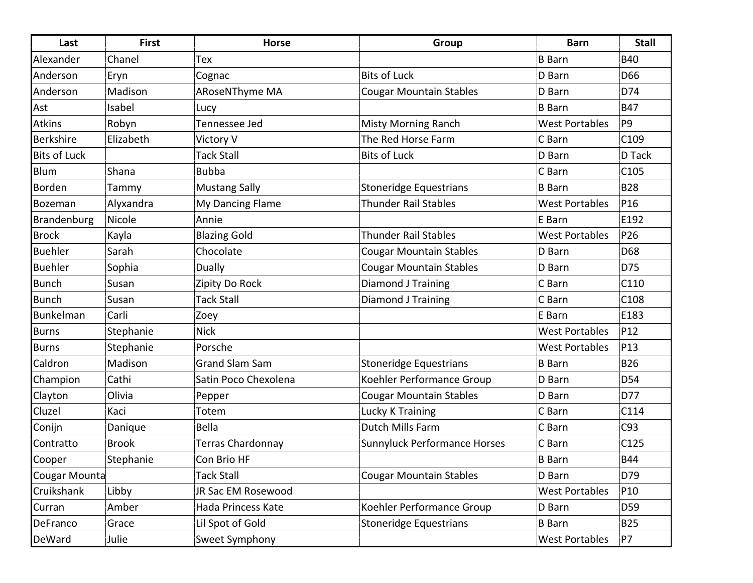| Last                | <b>First</b> | <b>Horse</b>          | Group                          | <b>Barn</b>           | <b>Stall</b>     |
|---------------------|--------------|-----------------------|--------------------------------|-----------------------|------------------|
| Alexander           | Chanel       | Tex                   |                                | <b>B</b> Barn         | <b>B40</b>       |
| Anderson            | Eryn         | Cognac                | <b>Bits of Luck</b>            | D Barn                | D66              |
| Anderson            | Madison      | ARoseNThyme MA        | <b>Cougar Mountain Stables</b> | D Barn                | D74              |
| Ast                 | Isabel       | Lucy                  |                                | <b>B</b> Barn         | <b>B47</b>       |
| <b>Atkins</b>       | Robyn        | Tennessee Jed         | <b>Misty Morning Ranch</b>     | <b>West Portables</b> | P <sub>9</sub>   |
| <b>Berkshire</b>    | Elizabeth    | Victory V             | The Red Horse Farm             | C Barn                | C <sub>109</sub> |
| <b>Bits of Luck</b> |              | <b>Tack Stall</b>     | <b>Bits of Luck</b>            | D Barn                | D Tack           |
| Blum                | Shana        | <b>Bubba</b>          |                                | C Barn                | C105             |
| Borden              | Tammy        | <b>Mustang Sally</b>  | Stoneridge Equestrians         | <b>B</b> Barn         | <b>B28</b>       |
| Bozeman             | Alyxandra    | My Dancing Flame      | <b>Thunder Rail Stables</b>    | <b>West Portables</b> | P16              |
| Brandenburg         | Nicole       | Annie                 |                                | E Barn                | E192             |
| <b>Brock</b>        | Kayla        | <b>Blazing Gold</b>   | <b>Thunder Rail Stables</b>    | <b>West Portables</b> | P26              |
| <b>Buehler</b>      | Sarah        | Chocolate             | <b>Cougar Mountain Stables</b> | D Barn                | D68              |
| <b>Buehler</b>      | Sophia       | Dually                | <b>Cougar Mountain Stables</b> | D Barn                | D75              |
| <b>Bunch</b>        | Susan        | Zipity Do Rock        | <b>Diamond J Training</b>      | C Barn                | C110             |
| <b>Bunch</b>        | Susan        | Tack Stall            | Diamond J Training             | C Barn                | C <sub>108</sub> |
| Bunkelman           | Carli        | Zoey                  |                                | E Barn                | E183             |
| <b>Burns</b>        | Stephanie    | <b>Nick</b>           |                                | <b>West Portables</b> | P12              |
| <b>Burns</b>        | Stephanie    | Porsche               |                                | <b>West Portables</b> | P13              |
| Caldron             | Madison      | <b>Grand Slam Sam</b> | Stoneridge Equestrians         | <b>B</b> Barn         | <b>B26</b>       |
| Champion            | Cathi        | Satin Poco Chexolena  | Koehler Performance Group      | D Barn                | <b>D54</b>       |
| Clayton             | Olivia       | Pepper                | <b>Cougar Mountain Stables</b> | D Barn                | D77              |
| Cluzel              | Kaci         | Totem                 | <b>Lucky K Training</b>        | C Barn                | C114             |
| Conijn              | Danique      | Bella                 | Dutch Mills Farm               | C Barn                | C93              |
| Contratto           | <b>Brook</b> | Terras Chardonnay     | Sunnyluck Performance Horses   | C Barn                | C125             |
| Cooper              | Stephanie    | Con Brio HF           |                                | <b>B</b> Barn         | <b>B44</b>       |
| Cougar Mounta       |              | <b>Tack Stall</b>     | <b>Cougar Mountain Stables</b> | D Barn                | D79              |
| Cruikshank          | Libby        | JR Sac EM Rosewood    |                                | <b>West Portables</b> | P10              |
| Curran              | Amber        | Hada Princess Kate    | Koehler Performance Group      | D Barn                | D59              |
| DeFranco            | Grace        | Lil Spot of Gold      | <b>Stoneridge Equestrians</b>  | <b>B</b> Barn         | <b>B25</b>       |
| DeWard              | Julie        | Sweet Symphony        |                                | <b>West Portables</b> | P7               |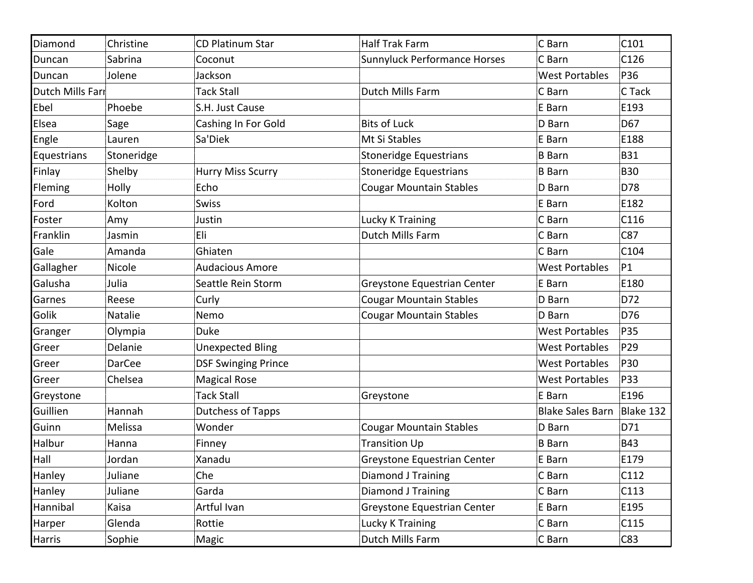| Diamond          | Christine     | <b>CD Platinum Star</b>    | <b>Half Trak Farm</b>               | C Barn                  | C101       |
|------------------|---------------|----------------------------|-------------------------------------|-------------------------|------------|
| Duncan           | Sabrina       | Coconut                    | <b>Sunnyluck Performance Horses</b> | C Barn                  | C126       |
| Duncan           | Jolene        | Jackson                    |                                     | <b>West Portables</b>   | P36        |
| Dutch Mills Farı |               | <b>Tack Stall</b>          | Dutch Mills Farm                    | C Barn                  | C Tack     |
| Ebel             | Phoebe        | S.H. Just Cause            |                                     | E Barn                  | E193       |
| Elsea            | Sage          | Cashing In For Gold        | <b>Bits of Luck</b>                 | D Barn                  | D67        |
| Engle            | Lauren        | Sa'Diek                    | Mt Si Stables                       | E Barn                  | E188       |
| Equestrians      | Stoneridge    |                            | <b>Stoneridge Equestrians</b>       | <b>B</b> Barn           | <b>B31</b> |
| Finlay           | Shelby        | <b>Hurry Miss Scurry</b>   | <b>Stoneridge Equestrians</b>       | <b>B</b> Barn           | <b>B30</b> |
| Fleming          | Holly         | Echo                       | <b>Cougar Mountain Stables</b>      | D Barn                  | D78        |
| Ford             | Kolton        | Swiss                      |                                     | E Barn                  | E182       |
| Foster           | Amy           | Justin                     | Lucky K Training                    | C Barn                  | C116       |
| Franklin         | Jasmin        | Eli                        | Dutch Mills Farm                    | C Barn                  | C87        |
| Gale             | Amanda        | Ghiaten                    |                                     | C Barn                  | C104       |
| Gallagher        | Nicole        | <b>Audacious Amore</b>     |                                     | <b>West Portables</b>   | P1         |
| Galusha          | Julia         | Seattle Rein Storm         | Greystone Equestrian Center         | E Barn                  | E180       |
| Garnes           | Reese         | Curly                      | <b>Cougar Mountain Stables</b>      | D Barn                  | D72        |
| Golik            | Natalie       | Nemo                       | <b>Cougar Mountain Stables</b>      | D Barn                  | D76        |
| Granger          | Olympia       | <b>Duke</b>                |                                     | <b>West Portables</b>   | P35        |
| Greer            | Delanie       | <b>Unexpected Bling</b>    |                                     | <b>West Portables</b>   | P29        |
| Greer            | <b>DarCee</b> | <b>DSF Swinging Prince</b> |                                     | <b>West Portables</b>   | P30        |
| Greer            | Chelsea       | <b>Magical Rose</b>        |                                     | <b>West Portables</b>   | P33        |
| Greystone        |               | <b>Tack Stall</b>          | Greystone                           | E Barn                  | E196       |
| Guillien         | Hannah        | Dutchess of Tapps          |                                     | <b>Blake Sales Barn</b> | Blake 132  |
| Guinn            | Melissa       | Wonder                     | <b>Cougar Mountain Stables</b>      | D Barn                  | D71        |
| Halbur           | Hanna         | Finney                     | <b>Transition Up</b>                | <b>B</b> Barn           | <b>B43</b> |
| Hall             | Jordan        | Xanadu                     | Greystone Equestrian Center         | E Barn                  | E179       |
| Hanley           | Juliane       | Che                        | Diamond J Training                  | C Barn                  | C112       |
| Hanley           | Juliane       | Garda                      | Diamond J Training                  | C Barn                  | C113       |
| Hannibal         | Kaisa         | Artful Ivan                | Greystone Equestrian Center         | E Barn                  | E195       |
| Harper           | Glenda        | Rottie                     | Lucky K Training                    | C Barn                  | C115       |
| Harris           | Sophie        | Magic                      | Dutch Mills Farm                    | C Barn                  | C83        |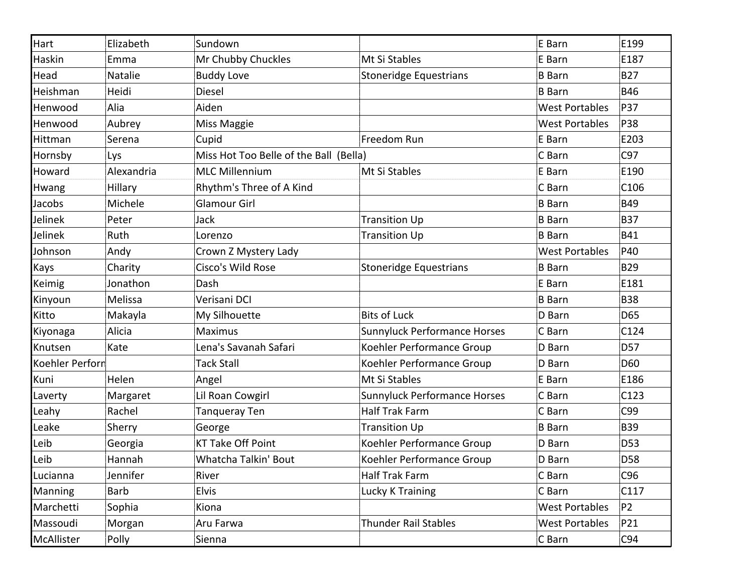| Hart            | Elizabeth  | Sundown                                |                               | E Barn                | E199           |
|-----------------|------------|----------------------------------------|-------------------------------|-----------------------|----------------|
| Haskin          | Emma       | Mr Chubby Chuckles                     | Mt Si Stables                 | E Barn                | E187           |
| Head            | Natalie    | <b>Buddy Love</b>                      | <b>Stoneridge Equestrians</b> | <b>B</b> Barn         | <b>B27</b>     |
| Heishman        | Heidi      | <b>Diesel</b>                          |                               | <b>B</b> Barn         | <b>B46</b>     |
| Henwood         | Alia       | Aiden                                  |                               | <b>West Portables</b> | P37            |
| Henwood         | Aubrey     | Miss Maggie                            |                               | <b>West Portables</b> | P38            |
| Hittman         | Serena     | Cupid                                  | Freedom Run                   | E Barn                | E203           |
| Hornsby         | Lys        | Miss Hot Too Belle of the Ball (Bella) |                               | C Barn                | C97            |
| Howard          | Alexandria | <b>MLC Millennium</b>                  | Mt Si Stables                 | E Barn                | E190           |
| Hwang           | Hillary    | Rhythm's Three of A Kind               |                               | C Barn                | C106           |
| Jacobs          | Michele    | <b>Glamour Girl</b>                    |                               | <b>B</b> Barn         | <b>B49</b>     |
| Jelinek         | Peter      | Jack                                   | <b>Transition Up</b>          | <b>B</b> Barn         | <b>B37</b>     |
| Jelinek         | Ruth       | Lorenzo                                | <b>Transition Up</b>          | <b>B</b> Barn         | <b>B41</b>     |
| Johnson         | Andy       | Crown Z Mystery Lady                   |                               | <b>West Portables</b> | P40            |
| Kays            | Charity    | Cisco's Wild Rose                      | <b>Stoneridge Equestrians</b> | <b>B</b> Barn         | <b>B29</b>     |
| Keimig          | Jonathon   | Dash                                   |                               | E Barn                | E181           |
| Kinyoun         | Melissa    | Verisani DCI                           |                               | <b>B</b> Barn         | <b>B38</b>     |
| Kitto           | Makayla    | My Silhouette                          | <b>Bits of Luck</b>           | D Barn                | D65            |
| Kiyonaga        | Alicia     | <b>Maximus</b>                         | Sunnyluck Performance Horses  | C Barn                | C124           |
| Knutsen         | Kate       | Lena's Savanah Safari                  | Koehler Performance Group     | D Barn                | D57            |
| Koehler Perforn |            | <b>Tack Stall</b>                      | Koehler Performance Group     | D Barn                | D60            |
| Kuni            | Helen      | Angel                                  | Mt Si Stables                 | E Barn                | E186           |
| Laverty         | Margaret   | Lil Roan Cowgirl                       | Sunnyluck Performance Horses  | C Barn                | C123           |
| Leahy           | Rachel     | Tanqueray Ten                          | <b>Half Trak Farm</b>         | C Barn                | C99            |
| Leake           | Sherry     | George                                 | <b>Transition Up</b>          | <b>B</b> Barn         | <b>B39</b>     |
| Leib            | Georgia    | <b>KT Take Off Point</b>               | Koehler Performance Group     | D Barn                | D53            |
| Leib            | Hannah     | Whatcha Talkin' Bout                   | Koehler Performance Group     | D Barn                | D58            |
| Lucianna        | Jennifer   | River                                  | Half Trak Farm                | C Barn                | C96            |
| Manning         | Barb       | <b>Elvis</b>                           | Lucky K Training              | C Barn                | C117           |
| Marchetti       | Sophia     | Kiona                                  |                               | <b>West Portables</b> | P <sub>2</sub> |
| Massoudi        | Morgan     | Aru Farwa                              | <b>Thunder Rail Stables</b>   | <b>West Portables</b> | P21            |
| McAllister      | Polly      | Sienna                                 |                               | C Barn                | C94            |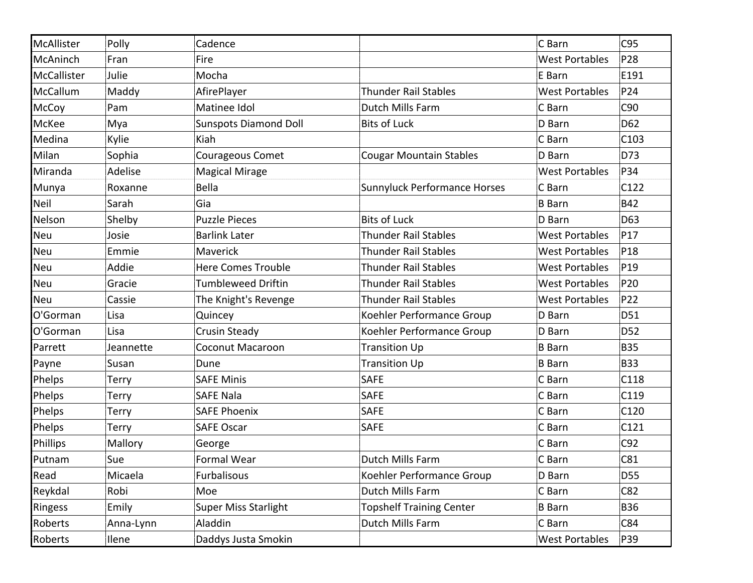| McAllister  | Polly        | Cadence                      |                                 | C Barn                | C95              |
|-------------|--------------|------------------------------|---------------------------------|-----------------------|------------------|
| McAninch    | Fran         | Fire                         |                                 | <b>West Portables</b> | P28              |
| McCallister | Julie        | Mocha                        |                                 | E Barn                | E191             |
| McCallum    | Maddy        | AfirePlayer                  | <b>Thunder Rail Stables</b>     | <b>West Portables</b> | P24              |
| McCoy       | Pam          | Matinee Idol                 | Dutch Mills Farm                | C Barn                | C90              |
| McKee       | Mya          | <b>Sunspots Diamond Doll</b> | <b>Bits of Luck</b>             | D Barn                | D62              |
| Medina      | Kylie        | Kiah                         |                                 | C Barn                | C <sub>103</sub> |
| Milan       | Sophia       | Courageous Comet             | <b>Cougar Mountain Stables</b>  | D Barn                | D73              |
| Miranda     | Adelise      | <b>Magical Mirage</b>        |                                 | <b>West Portables</b> | P34              |
| Munya       | Roxanne      | Bella                        | Sunnyluck Performance Horses    | C Barn                | C122             |
| Neil        | Sarah        | Gia                          |                                 | <b>B</b> Barn         | <b>B42</b>       |
| Nelson      | Shelby       | <b>Puzzle Pieces</b>         | <b>Bits of Luck</b>             | D Barn                | D63              |
| <b>Neu</b>  | Josie        | <b>Barlink Later</b>         | <b>Thunder Rail Stables</b>     | <b>West Portables</b> | P17              |
| <b>Neu</b>  | Emmie        | <b>Maverick</b>              | <b>Thunder Rail Stables</b>     | <b>West Portables</b> | P <sub>18</sub>  |
| Neu         | Addie        | <b>Here Comes Trouble</b>    | <b>Thunder Rail Stables</b>     | <b>West Portables</b> | P <sub>19</sub>  |
| <b>Neu</b>  | Gracie       | <b>Tumbleweed Driftin</b>    | <b>Thunder Rail Stables</b>     | <b>West Portables</b> | P20              |
| <b>Neu</b>  | Cassie       | The Knight's Revenge         | <b>Thunder Rail Stables</b>     | <b>West Portables</b> | P22              |
| O'Gorman    | Lisa         | Quincey                      | Koehler Performance Group       | D Barn                | D51              |
| O'Gorman    | Lisa         | <b>Crusin Steady</b>         | Koehler Performance Group       | D Barn                | D <sub>52</sub>  |
| Parrett     | Jeannette    | <b>Coconut Macaroon</b>      | <b>Transition Up</b>            | <b>B</b> Barn         | <b>B35</b>       |
| Payne       | Susan        | Dune                         | <b>Transition Up</b>            | <b>B</b> Barn         | <b>B33</b>       |
| Phelps      | Terry        | <b>SAFE Minis</b>            | <b>SAFE</b>                     | C Barn                | C118             |
| Phelps      | Terry        | <b>SAFE Nala</b>             | <b>SAFE</b>                     | C Barn                | C119             |
| Phelps      | Terry        | <b>SAFE Phoenix</b>          | <b>SAFE</b>                     | C Barn                | C120             |
| Phelps      | Terry        | <b>SAFE Oscar</b>            | <b>SAFE</b>                     | C Barn                | C121             |
| Phillips    | Mallory      | George                       |                                 | C Barn                | C92              |
| Putnam      | Sue          | <b>Formal Wear</b>           | Dutch Mills Farm                | C Barn                | C81              |
| Read        | Micaela      | Furbalisous                  | Koehler Performance Group       | D Barn                | D55              |
| Reykdal     | Robi         | Moe                          | Dutch Mills Farm                | C Barn                | C82              |
| Ringess     | Emily        | <b>Super Miss Starlight</b>  | <b>Topshelf Training Center</b> | <b>B</b> Barn         | <b>B36</b>       |
| Roberts     | Anna-Lynn    | Aladdin                      | Dutch Mills Farm                | C Barn                | C84              |
| Roberts     | <b>Ilene</b> | Daddys Justa Smokin          |                                 | <b>West Portables</b> | P39              |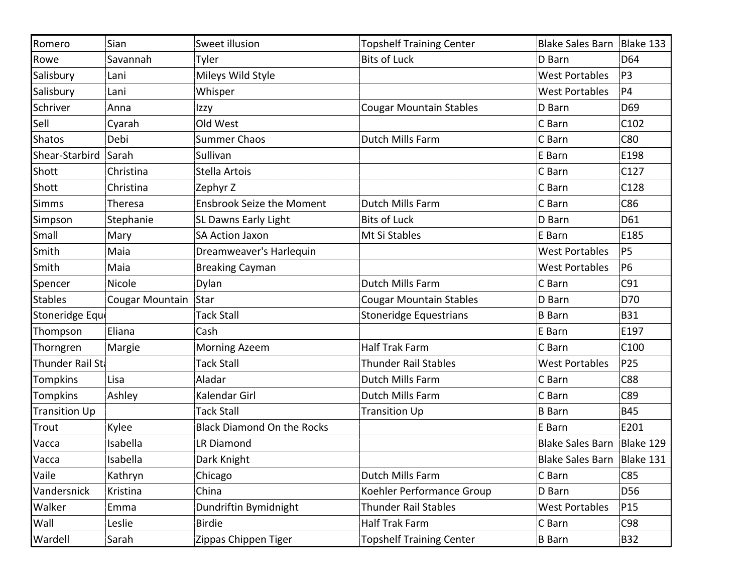| Romero               | Sian            | Sweet illusion                    | <b>Topshelf Training Center</b> | <b>Blake Sales Barn</b>    | Blake 133       |
|----------------------|-----------------|-----------------------------------|---------------------------------|----------------------------|-----------------|
| Rowe                 | Savannah        | Tyler                             | <b>Bits of Luck</b>             | D Barn                     | D64             |
| Salisbury            | Lani            | Mileys Wild Style                 |                                 | <b>West Portables</b>      | P <sub>3</sub>  |
| Salisbury            | Lani            | Whisper                           |                                 | <b>West Portables</b>      | P4              |
| Schriver             | Anna            | Izzy                              | <b>Cougar Mountain Stables</b>  | D Barn                     | D69             |
| Sell                 | Cyarah          | Old West                          |                                 | C Barn                     | C102            |
| Shatos               | Debi            | <b>Summer Chaos</b>               | Dutch Mills Farm                | C Barn                     | C80             |
| Shear-Starbird       | Sarah           | Sullivan                          |                                 | E Barn                     | E198            |
| Shott                | Christina       | Stella Artois                     |                                 | C Barn                     | C127            |
| Shott                | Christina       | Zephyr Z                          |                                 | C Barn                     | C128            |
| Simms                | <b>Theresa</b>  | <b>Ensbrook Seize the Moment</b>  | Dutch Mills Farm                | C Barn                     | C86             |
| Simpson              | Stephanie       | <b>SL Dawns Early Light</b>       | <b>Bits of Luck</b>             | D Barn                     | D61             |
| Small                | Mary            | <b>SA Action Jaxon</b>            | Mt Si Stables                   | E Barn                     | E185            |
| Smith                | Maia            | Dreamweaver's Harlequin           |                                 | <b>West Portables</b>      | P5              |
| Smith                | Maia            | <b>Breaking Cayman</b>            |                                 | <b>West Portables</b>      | <b>P6</b>       |
| Spencer              | Nicole          | Dylan                             | Dutch Mills Farm                | C Barn                     | C91             |
| Stables              | Cougar Mountain | Star                              | <b>Cougar Mountain Stables</b>  | D Barn                     | D70             |
| Stoneridge Eque      |                 | <b>Tack Stall</b>                 | <b>Stoneridge Equestrians</b>   | <b>B</b> Barn              | <b>B31</b>      |
| Thompson             | Eliana          | Cash                              |                                 | E Barn                     | E197            |
| Thorngren            | Margie          | <b>Morning Azeem</b>              | <b>Half Trak Farm</b>           | C Barn                     | C100            |
| Thunder Rail Sta     |                 | <b>Tack Stall</b>                 | <b>Thunder Rail Stables</b>     | <b>West Portables</b>      | P25             |
| Tompkins             | Lisa            | Aladar                            | Dutch Mills Farm                | C Barn                     | <b>C88</b>      |
| Tompkins             | Ashley          | Kalendar Girl                     | Dutch Mills Farm                | C Barn                     | C89             |
| <b>Transition Up</b> |                 | <b>Tack Stall</b>                 | <b>Transition Up</b>            | <b>B</b> Barn              | <b>B45</b>      |
| Trout                | Kylee           | <b>Black Diamond On the Rocks</b> |                                 | E Barn                     | E201            |
| Vacca                | Isabella        | <b>LR Diamond</b>                 |                                 | <b>Blake Sales Barn</b>    | Blake 129       |
| Vacca                | Isabella        | Dark Knight                       |                                 | Blake Sales Barn Blake 131 |                 |
| Vaile                | Kathryn         | Chicago                           | Dutch Mills Farm                | C Barn                     | C85             |
| Vandersnick          | Kristina        | China                             | Koehler Performance Group       | D Barn                     | D56             |
| Walker               | Emma            | Dundriftin Bymidnight             | <b>Thunder Rail Stables</b>     | <b>West Portables</b>      | P <sub>15</sub> |
| Wall                 | Leslie          | <b>Birdie</b>                     | <b>Half Trak Farm</b>           | C Barn                     | C98             |
| Wardell              | Sarah           | Zippas Chippen Tiger              | <b>Topshelf Training Center</b> | <b>B</b> Barn              | <b>B32</b>      |